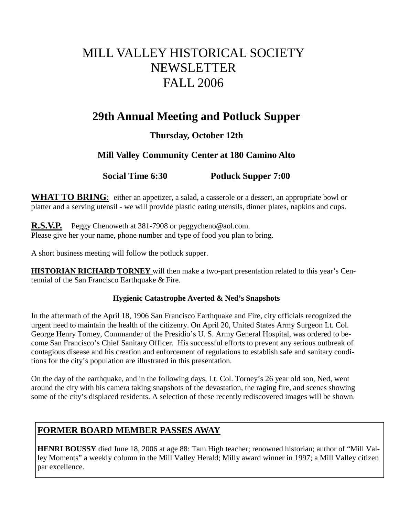# MILL VALLEY HISTORICAL SOCIETY NEWSLETTER FALL 2006

# **29th Annual Meeting and Potluck Supper**

# **Thursday, October 12th**

# **Mill Valley Community Center at 180 Camino Alto**

**Social Time 6:30 Potluck Supper 7:00** 

WHAT TO BRING: either an appetizer, a salad, a casserole or a dessert, an appropriate bowl or platter and a serving utensil - we will provide plastic eating utensils, dinner plates, napkins and cups.

**R.S.V.P.** Peggy Chenoweth at 381-7908 or peggycheno@aol.com. Please give her your name, phone number and type of food you plan to bring.

A short business meeting will follow the potluck supper.

**HISTORIAN RICHARD TORNEY** will then make a two-part presentation related to this year's Centennial of the San Francisco Earthquake & Fire.

## **Hygienic Catastrophe Averted & Ned's Snapshots**

In the aftermath of the April 18, 1906 San Francisco Earthquake and Fire, city officials recognized the urgent need to maintain the health of the citizenry. On April 20, United States Army Surgeon Lt. Col. George Henry Torney, Commander of the Presidio's U. S. Army General Hospital, was ordered to become San Francisco's Chief Sanitary Officer. His successful efforts to prevent any serious outbreak of contagious disease and his creation and enforcement of regulations to establish safe and sanitary conditions for the city's population are illustrated in this presentation.

On the day of the earthquake, and in the following days, Lt. Col. Torney's 26 year old son, Ned, went around the city with his camera taking snapshots of the devastation, the raging fire, and scenes showing some of the city's displaced residents. A selection of these recently rediscovered images will be shown.

# **FORMER BOARD MEMBER PASSES AWAY**

**HENRI BOUSSY** died June 18, 2006 at age 88: Tam High teacher; renowned historian; author of "Mill Valley Moments" a weekly column in the Mill Valley Herald; Milly award winner in 1997; a Mill Valley citizen par excellence.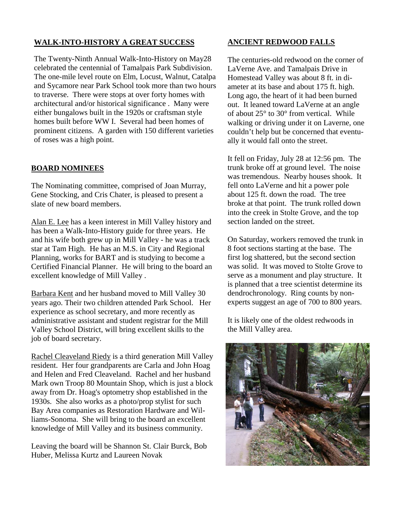### **WALK-INTO-HISTORY A GREAT SUCCESS**

The Twenty-Ninth Annual Walk-Into-History on May28 celebrated the centennial of Tamalpais Park Subdivision. The one-mile level route on Elm, Locust, Walnut, Catalpa and Sycamore near Park School took more than two hours to traverse. There were stops at over forty homes with architectural and/or historical significance . Many were either bungalows built in the 1920s or craftsman style homes built before WW I. Several had been homes of prominent citizens. A garden with 150 different varieties of roses was a high point.

#### **BOARD NOMINEES**

The Nominating committee, comprised of Joan Murray, Gene Stocking, and Cris Chater, is pleased to present a slate of new board members.

Alan E. Lee has a keen interest in Mill Valley history and has been a Walk-Into-History guide for three years. He and his wife both grew up in Mill Valley - he was a track star at Tam High. He has an M.S. in City and Regional Planning, works for BART and is studying to become a Certified Financial Planner. He will bring to the board an excellent knowledge of Mill Valley .

Barbara Kent and her husband moved to Mill Valley 30 years ago. Their two children attended Park School. Her experience as school secretary, and more recently as administrative assistant and student registrar for the Mill Valley School District, will bring excellent skills to the job of board secretary.

Rachel Cleaveland Riedy is a third generation Mill Valley resident. Her four grandparents are Carla and John Hoag and Helen and Fred Cleaveland. Rachel and her husband Mark own Troop 80 Mountain Shop, which is just a block away from Dr. Hoag's optometry shop established in the 1930s. She also works as a photo/prop stylist for such Bay Area companies as Restoration Hardware and Williams-Sonoma. She will bring to the board an excellent knowledge of Mill Valley and its business community.

Leaving the board will be Shannon St. Clair Burck, Bob Huber, Melissa Kurtz and Laureen Novak

#### **ANCIENT REDWOOD FALLS**

The centuries-old redwood on the corner of LaVerne Ave. and Tamalpais Drive in Homestead Valley was about 8 ft. in diameter at its base and about 175 ft. high. Long ago, the heart of it had been burned out. It leaned toward LaVerne at an angle of about 25° to 30° from vertical. While walking or driving under it on Laverne, one couldn't help but be concerned that eventually it would fall onto the street.

It fell on Friday, July 28 at 12:56 pm. The trunk broke off at ground level. The noise was tremendous. Nearby houses shook. It fell onto LaVerne and hit a power pole about 125 ft. down the road. The tree broke at that point. The trunk rolled down into the creek in Stolte Grove, and the top section landed on the street.

On Saturday, workers removed the trunk in 8 foot sections starting at the base. The first log shattered, but the second section was solid. It was moved to Stolte Grove to serve as a monument and play structure. It is planned that a tree scientist determine its dendrochronology. Ring counts by nonexperts suggest an age of 700 to 800 years.

It is likely one of the oldest redwoods in the Mill Valley area.

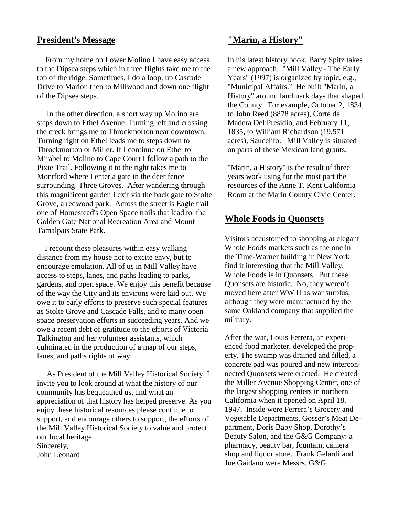# **President's Message**

 From my home on Lower Molino I have easy access to the Dipsea steps which in three flights take me to the top of the ridge. Sometimes, I do a loop, up Cascade Drive to Marion then to Millwood and down one flight of the Dipsea steps.

 In the other direction, a short way up Molino are steps down to Ethel Avenue. Turning left and crossing the creek brings me to Throckmorton near downtown. Turning right on Ethel leads me to steps down to Throckmorton or Miller. If I continue on Ethel to Mirabel to Molino to Cape Court I follow a path to the Pixie Trail. Following it to the right takes me to Montford where I enter a gate in the deer fence surrounding Three Groves. After wandering through this magnificent garden I exit via the back gate to Stolte Grove, a redwood park. Across the street is Eagle trail one of Homestead's Open Space trails that lead to the Golden Gate National Recreation Area and Mount Tamalpais State Park.

 I recount these pleasures within easy walking distance from my house not to excite envy, but to encourage emulation. All of us in Mill Valley have access to steps, lanes, and paths leading to parks, gardens, and open space. We enjoy this benefit because of the way the City and its environs were laid out. We owe it to early efforts to preserve such special features as Stolte Grove and Cascade Falls, and to many open space preservation efforts in succeeding years. And we owe a recent debt of gratitude to the efforts of Victoria Talkington and her volunteer assistants, which culminated in the production of a map of our steps, lanes, and paths rights of way.

 As President of the Mill Valley Historical Society, I invite you to look around at what the history of our community has bequeathed us, and what an appreciation of that history has helped preserve. As you enjoy these historical resources please continue to support, and encourage others to support, the efforts of the Mill Valley Historical Society to value and protect our local heritage. Sincerely, John Leonard

**"Marin, a History"**

In his latest history book, Barry Spitz takes a new approach. "Mill Valley - The Early Years" (1997) is organized by topic, e.g., "Municipal Affairs." He built "Marin, a History" around landmark days that shaped the County. For example, October 2, 1834, to John Reed (8878 acres), Corte de Madera Del Presidio, and February 11, 1835, to William Richardson (19,571 acres), Saucelito. Mill Valley is situated on parts of these Mexican land grants.

"Marin, a History" is the result of three years work using for the most part the resources of the Anne T. Kent California Room at the Marin County Civic Center.

### **Whole Foods in Quonsets**

Visitors accustomed to shopping at elegant Whole Foods markets such as the one in the Time-Warner building in New York find it interesting that the Mill Valley, Whole Foods is in Quonsets. But these Quonsets are historic. No, they weren't moved here after WW II as war surplus, although they were manufactured by the same Oakland company that supplied the military.

After the war, Louis Ferrera, an experienced food marketer, developed the property. The swamp was drained and filled, a concrete pad was poured and new interconnected Quonsets were erected. He created the Miller Avenue Shopping Center, one of the largest shopping centers in northern California when it opened on April 18, 1947. Inside were Ferrera's Grocery and Vegetable Departments, Gosser's Meat Department, Doris Baby Shop, Dorothy's Beauty Salon, and the G&G Company: a pharmacy, beauty bar, fountain, camera shop and liquor store. Frank Gelardi and Joe Gaidano were Messrs. G&G.